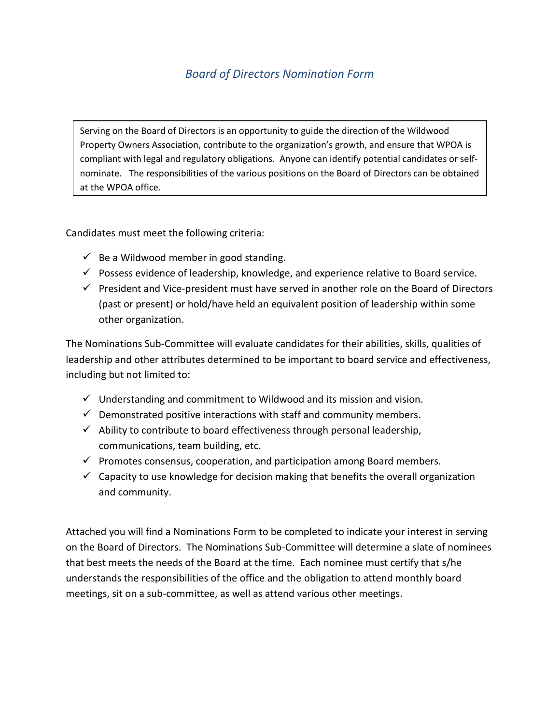## *Board of Directors Nomination Form*

Serving on the Board of Directors is an opportunity to guide the direction of the Wildwood Property Owners Association, contribute to the organization's growth, and ensure that WPOA is compliant with legal and regulatory obligations. Anyone can identify potential candidates or selfnominate. The responsibilities of the various positions on the Board of Directors can be obtained at the WPOA office.

Candidates must meet the following criteria:

- $\checkmark$  Be a Wildwood member in good standing.
- $\checkmark$  Possess evidence of leadership, knowledge, and experience relative to Board service.
- $\checkmark$  President and Vice-president must have served in another role on the Board of Directors (past or present) or hold/have held an equivalent position of leadership within some other organization.

The Nominations Sub-Committee will evaluate candidates for their abilities, skills, qualities of leadership and other attributes determined to be important to board service and effectiveness, including but not limited to:

- $\checkmark$  Understanding and commitment to Wildwood and its mission and vision.
- $\checkmark$  Demonstrated positive interactions with staff and community members.
- $\checkmark$  Ability to contribute to board effectiveness through personal leadership, communications, team building, etc.
- $\checkmark$  Promotes consensus, cooperation, and participation among Board members.
- $\checkmark$  Capacity to use knowledge for decision making that benefits the overall organization and community.

Attached you will find a Nominations Form to be completed to indicate your interest in serving on the Board of Directors. The Nominations Sub-Committee will determine a slate of nominees that best meets the needs of the Board at the time. Each nominee must certify that s/he understands the responsibilities of the office and the obligation to attend monthly board meetings, sit on a sub-committee, as well as attend various other meetings.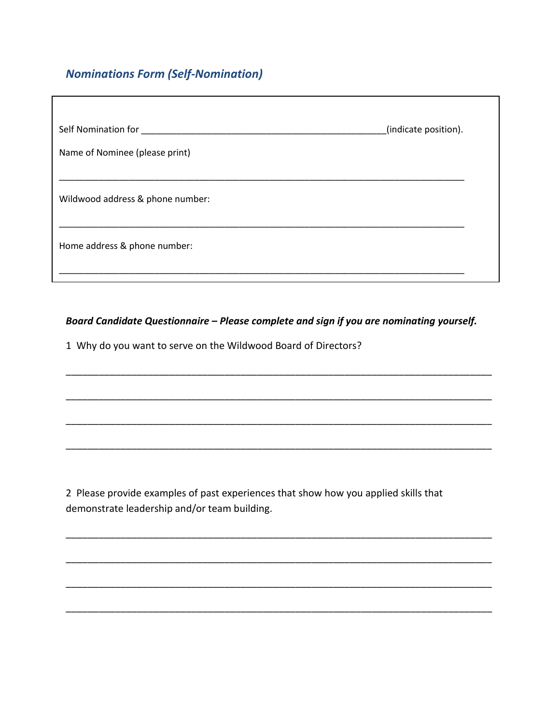## **Nominations Form (Self-Nomination)**

| Self Nomination for              | (indicate position). |
|----------------------------------|----------------------|
| Name of Nominee (please print)   |                      |
| Wildwood address & phone number: |                      |
| Home address & phone number:     |                      |

## Board Candidate Questionnaire - Please complete and sign if you are nominating yourself.

1 Why do you want to serve on the Wildwood Board of Directors?

2 Please provide examples of past experiences that show how you applied skills that demonstrate leadership and/or team building.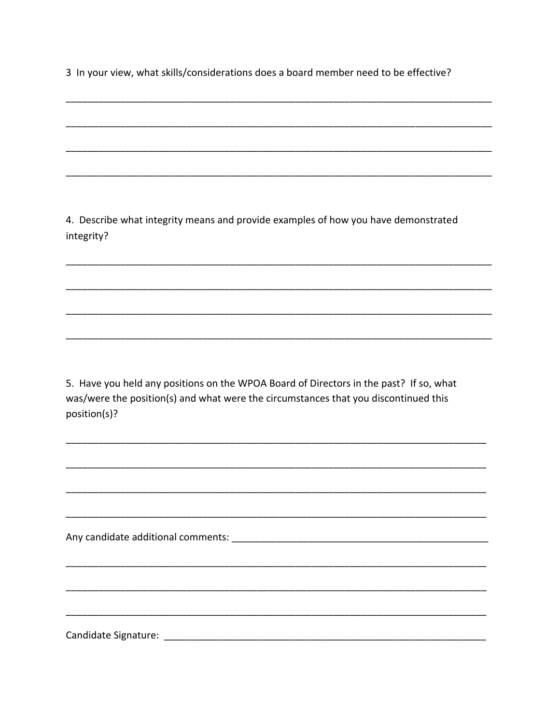3 In your view, what skills/considerations does a board member need to be effective?

4. Describe what integrity means and provide examples of how you have demonstrated integrity?

5. Have you held any positions on the WPOA Board of Directors in the past? If so, what was/were the position(s) and what were the circumstances that you discontinued this position(s)?

Candidate Signature: The Candidate Signature: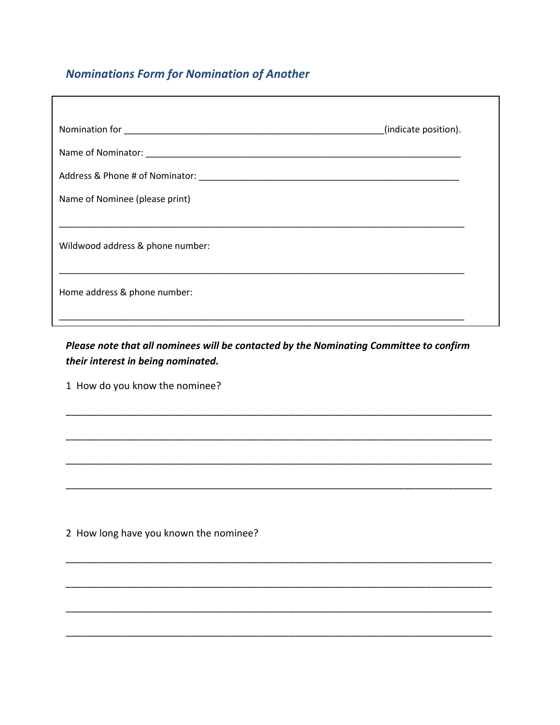## **Nominations Form for Nomination of Another**

|                                  | (indicate position). |
|----------------------------------|----------------------|
|                                  |                      |
|                                  |                      |
| Name of Nominee (please print)   |                      |
|                                  |                      |
| Wildwood address & phone number: |                      |
|                                  |                      |
| Home address & phone number:     |                      |
|                                  |                      |

Please note that all nominees will be contacted by the Nominating Committee to confirm their interest in being nominated.

1 How do you know the nominee?

2 How long have you known the nominee?